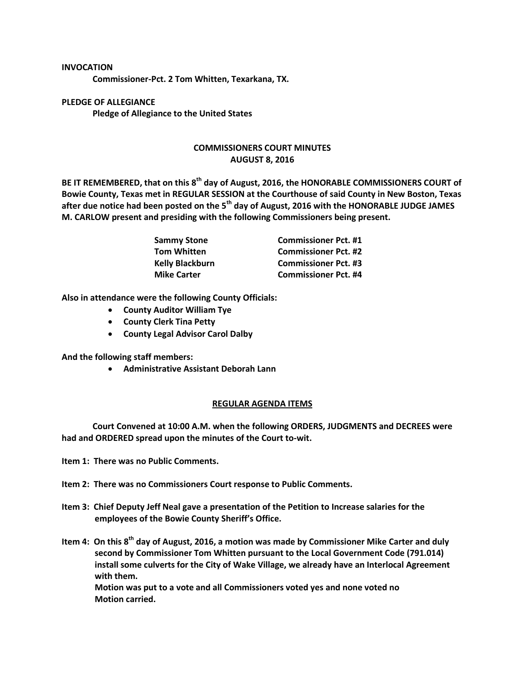## **INVOCATION**

**Commissioner-Pct. 2 Tom Whitten, Texarkana, TX.**

**PLEDGE OF ALLEGIANCE Pledge of Allegiance to the United States**

## **COMMISSIONERS COURT MINUTES AUGUST 8, 2016**

**BE IT REMEMBERED, that on this 8th day of August, 2016, the HONORABLE COMMISSIONERS COURT of Bowie County, Texas met in REGULAR SESSION at the Courthouse of said County in New Boston, Texas after due notice had been posted on the 5th day of August, 2016 with the HONORABLE JUDGE JAMES M. CARLOW present and presiding with the following Commissioners being present.**

| Sammy Stone<br>Tom Whitten | <b>Commissioner Pct. #1</b> |
|----------------------------|-----------------------------|
|                            | <b>Commissioner Pct. #2</b> |
| <b>Kelly Blackburn</b>     | <b>Commissioner Pct. #3</b> |
| <b>Mike Carter</b>         | <b>Commissioner Pct. #4</b> |

**Also in attendance were the following County Officials:**

- **County Auditor William Tye**
- **County Clerk Tina Petty**
- **County Legal Advisor Carol Dalby**

**And the following staff members:**

**Administrative Assistant Deborah Lann**

## **REGULAR AGENDA ITEMS**

**Court Convened at 10:00 A.M. when the following ORDERS, JUDGMENTS and DECREES were had and ORDERED spread upon the minutes of the Court to-wit.**

- **Item 1: There was no Public Comments.**
- **Item 2: There was no Commissioners Court response to Public Comments.**
- **Item 3: Chief Deputy Jeff Neal gave a presentation of the Petition to Increase salaries for the employees of the Bowie County Sheriff's Office.**
- **Item 4: On this 8th day of August, 2016, a motion was made by Commissioner Mike Carter and duly second by Commissioner Tom Whitten pursuant to the Local Government Code (791.014) install some culverts for the City of Wake Village, we already have an Interlocal Agreement with them.**

**Motion was put to a vote and all Commissioners voted yes and none voted no Motion carried.**